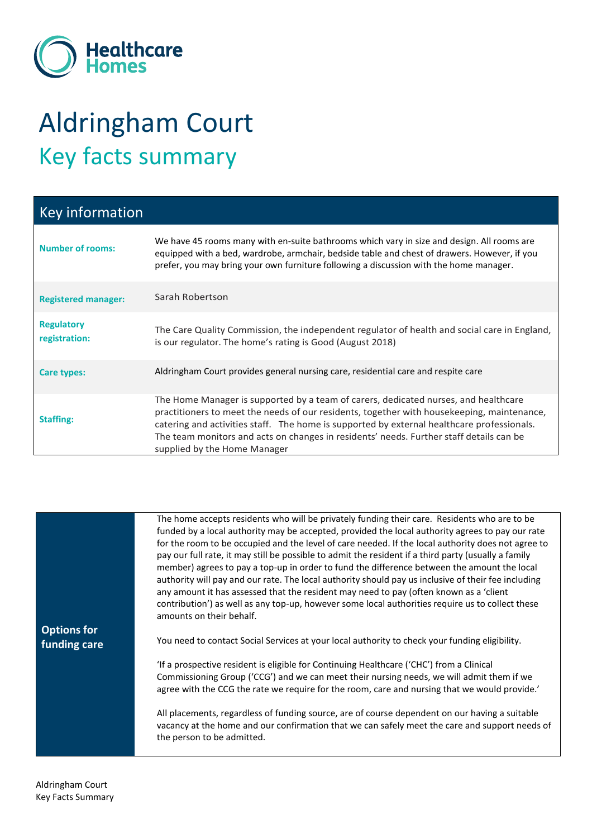

## Aldringham Court Key facts summary

| <b>Key information</b>             |                                                                                                                                                                                                                                                                                                                                                                                                            |
|------------------------------------|------------------------------------------------------------------------------------------------------------------------------------------------------------------------------------------------------------------------------------------------------------------------------------------------------------------------------------------------------------------------------------------------------------|
| <b>Number of rooms:</b>            | We have 45 rooms many with en-suite bathrooms which vary in size and design. All rooms are<br>equipped with a bed, wardrobe, armchair, bedside table and chest of drawers. However, if you<br>prefer, you may bring your own furniture following a discussion with the home manager.                                                                                                                       |
| <b>Registered manager:</b>         | Sarah Robertson                                                                                                                                                                                                                                                                                                                                                                                            |
| <b>Regulatory</b><br>registration: | The Care Quality Commission, the independent regulator of health and social care in England,<br>is our regulator. The home's rating is Good (August 2018)                                                                                                                                                                                                                                                  |
| Care types:                        | Aldringham Court provides general nursing care, residential care and respite care                                                                                                                                                                                                                                                                                                                          |
| <b>Staffing:</b>                   | The Home Manager is supported by a team of carers, dedicated nurses, and healthcare<br>practitioners to meet the needs of our residents, together with housekeeping, maintenance,<br>catering and activities staff. The home is supported by external healthcare professionals.<br>The team monitors and acts on changes in residents' needs. Further staff details can be<br>supplied by the Home Manager |

|                    | The home accepts residents who will be privately funding their care. Residents who are to be         |
|--------------------|------------------------------------------------------------------------------------------------------|
|                    | funded by a local authority may be accepted, provided the local authority agrees to pay our rate     |
|                    | for the room to be occupied and the level of care needed. If the local authority does not agree to   |
|                    | pay our full rate, it may still be possible to admit the resident if a third party (usually a family |
|                    | member) agrees to pay a top-up in order to fund the difference between the amount the local          |
|                    | authority will pay and our rate. The local authority should pay us inclusive of their fee including  |
|                    | any amount it has assessed that the resident may need to pay (often known as a 'client               |
|                    | contribution') as well as any top-up, however some local authorities require us to collect these     |
|                    | amounts on their behalf.                                                                             |
| <b>Options for</b> |                                                                                                      |
| funding care       | You need to contact Social Services at your local authority to check your funding eligibility.       |
|                    |                                                                                                      |
|                    | 'If a prospective resident is eligible for Continuing Healthcare ('CHC') from a Clinical             |
|                    | Commissioning Group ('CCG') and we can meet their nursing needs, we will admit them if we            |
|                    | agree with the CCG the rate we require for the room, care and nursing that we would provide.'        |
|                    |                                                                                                      |
|                    | All placements, regardless of funding source, are of course dependent on our having a suitable       |
|                    | vacancy at the home and our confirmation that we can safely meet the care and support needs of       |
|                    | the person to be admitted.                                                                           |
|                    |                                                                                                      |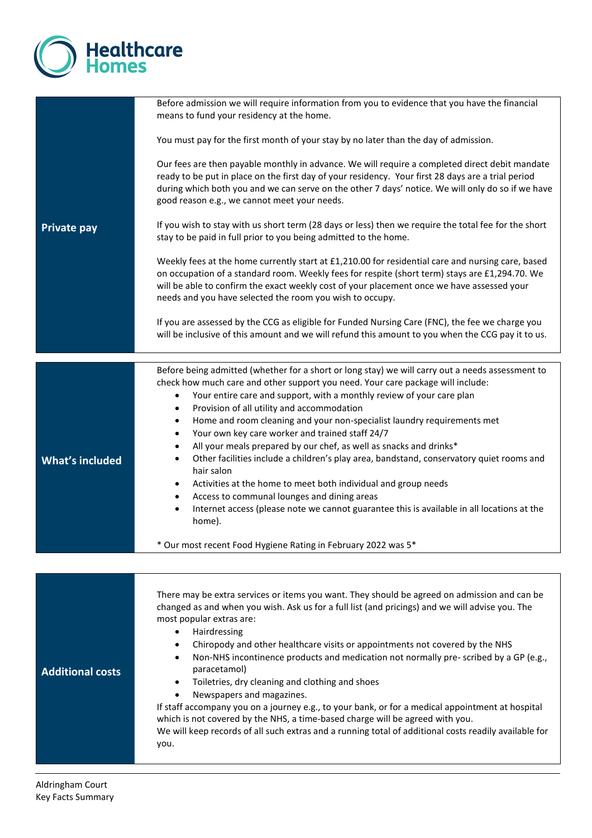

| Before admission we will require information from you to evidence that you have the financial<br>means to fund your residency at the home.                                                                                                                                                                                                                                                                                                                                                                                                                                                                                                                                                                                                                                                                                                                                                                                                                                                                                              |
|-----------------------------------------------------------------------------------------------------------------------------------------------------------------------------------------------------------------------------------------------------------------------------------------------------------------------------------------------------------------------------------------------------------------------------------------------------------------------------------------------------------------------------------------------------------------------------------------------------------------------------------------------------------------------------------------------------------------------------------------------------------------------------------------------------------------------------------------------------------------------------------------------------------------------------------------------------------------------------------------------------------------------------------------|
| You must pay for the first month of your stay by no later than the day of admission.                                                                                                                                                                                                                                                                                                                                                                                                                                                                                                                                                                                                                                                                                                                                                                                                                                                                                                                                                    |
| Our fees are then payable monthly in advance. We will require a completed direct debit mandate<br>ready to be put in place on the first day of your residency. Your first 28 days are a trial period<br>during which both you and we can serve on the other 7 days' notice. We will only do so if we have<br>good reason e.g., we cannot meet your needs.                                                                                                                                                                                                                                                                                                                                                                                                                                                                                                                                                                                                                                                                               |
| If you wish to stay with us short term (28 days or less) then we require the total fee for the short<br>stay to be paid in full prior to you being admitted to the home.                                                                                                                                                                                                                                                                                                                                                                                                                                                                                                                                                                                                                                                                                                                                                                                                                                                                |
| Weekly fees at the home currently start at £1,210.00 for residential care and nursing care, based<br>on occupation of a standard room. Weekly fees for respite (short term) stays are £1,294.70. We<br>will be able to confirm the exact weekly cost of your placement once we have assessed your<br>needs and you have selected the room you wish to occupy.                                                                                                                                                                                                                                                                                                                                                                                                                                                                                                                                                                                                                                                                           |
| If you are assessed by the CCG as eligible for Funded Nursing Care (FNC), the fee we charge you<br>will be inclusive of this amount and we will refund this amount to you when the CCG pay it to us.                                                                                                                                                                                                                                                                                                                                                                                                                                                                                                                                                                                                                                                                                                                                                                                                                                    |
|                                                                                                                                                                                                                                                                                                                                                                                                                                                                                                                                                                                                                                                                                                                                                                                                                                                                                                                                                                                                                                         |
| Before being admitted (whether for a short or long stay) we will carry out a needs assessment to<br>check how much care and other support you need. Your care package will include:<br>Your entire care and support, with a monthly review of your care plan<br>$\bullet$<br>Provision of all utility and accommodation<br>$\bullet$<br>Home and room cleaning and your non-specialist laundry requirements met<br>$\bullet$<br>Your own key care worker and trained staff 24/7<br>$\bullet$<br>All your meals prepared by our chef, as well as snacks and drinks*<br>$\bullet$<br>Other facilities include a children's play area, bandstand, conservatory quiet rooms and<br>$\bullet$<br>hair salon<br>Activities at the home to meet both individual and group needs<br>$\bullet$<br>Access to communal lounges and dining areas<br>$\bullet$<br>Internet access (please note we cannot guarantee this is available in all locations at the<br>$\bullet$<br>home).<br>* Our most recent Food Hygiene Rating in February 2022 was 5* |
|                                                                                                                                                                                                                                                                                                                                                                                                                                                                                                                                                                                                                                                                                                                                                                                                                                                                                                                                                                                                                                         |
| There may be extra services or items you want. They should be agreed on admission and can be<br>changed as and when you wish. Ask us for a full list (and pricings) and we will advise you. The<br>most popular extras are:<br>Hairdressing<br>$\bullet$<br>Chiropody and other healthcare visits or appointments not covered by the NHS<br>٠<br>Non-NHS incontinence products and medication not normally pre-scribed by a GP (e.g.,<br>٠<br>paracetamol)<br>Toiletries, dry cleaning and clothing and shoes<br>$\bullet$<br>Newspapers and magazines.<br>$\bullet$<br>If staff accompany you on a journey e.g., to your bank, or for a medical appointment at hospital<br>which is not covered by the NHS, a time-based charge will be agreed with you.<br>We will keep records of all such extras and a running total of additional costs readily available for<br>you.                                                                                                                                                              |
|                                                                                                                                                                                                                                                                                                                                                                                                                                                                                                                                                                                                                                                                                                                                                                                                                                                                                                                                                                                                                                         |